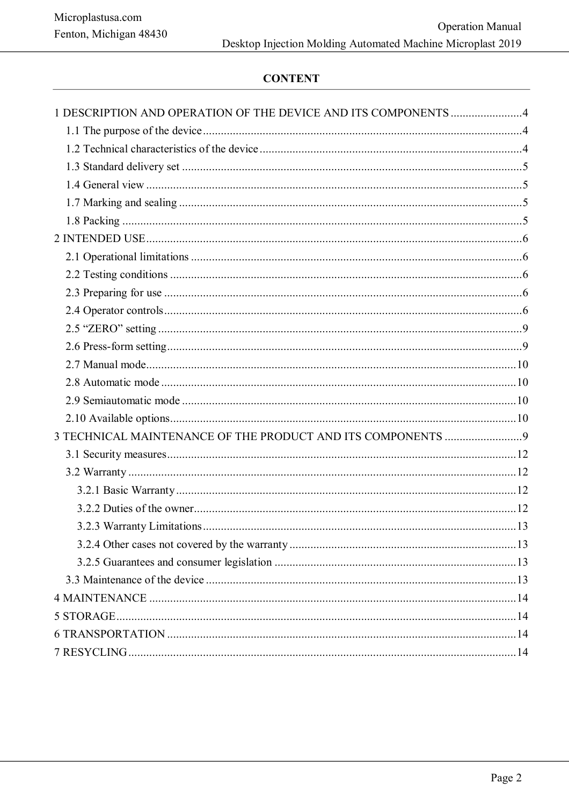# **CONTENT**

| 1 DESCRIPTION AND OPERATION OF THE DEVICE AND ITS COMPONENTS 4 |  |
|----------------------------------------------------------------|--|
|                                                                |  |
|                                                                |  |
|                                                                |  |
|                                                                |  |
|                                                                |  |
|                                                                |  |
|                                                                |  |
|                                                                |  |
|                                                                |  |
|                                                                |  |
|                                                                |  |
|                                                                |  |
|                                                                |  |
|                                                                |  |
|                                                                |  |
|                                                                |  |
|                                                                |  |
|                                                                |  |
|                                                                |  |
|                                                                |  |
|                                                                |  |
|                                                                |  |
|                                                                |  |
|                                                                |  |
|                                                                |  |
|                                                                |  |
|                                                                |  |
|                                                                |  |
|                                                                |  |
|                                                                |  |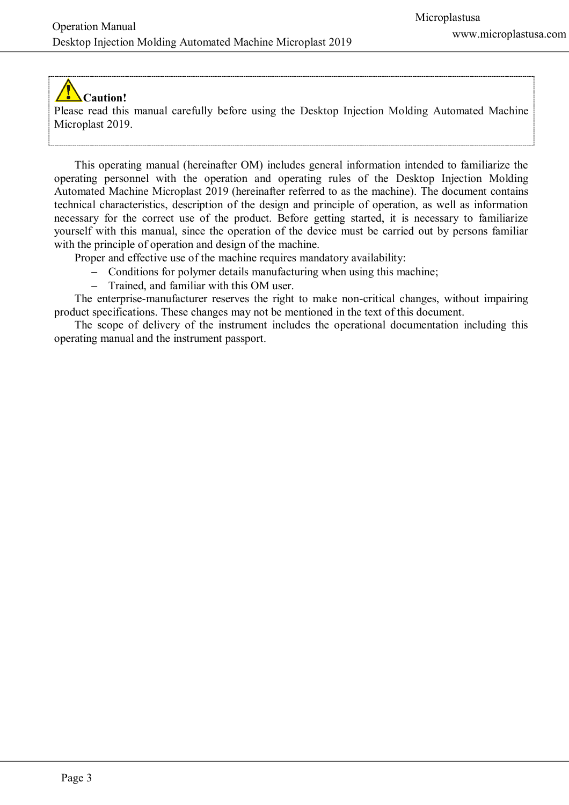# **Caution!**

Please read this manual carefully before using the Desktop Injection Molding Automated Machine Microplast 2019.

This operating manual (hereinafter OM) includes general information intended to familiarize the operating personnel with the operation and operating rules of the Desktop Injection Molding Automated Machine Microplast 2019 (hereinafter referred to as the machine). The document contains technical characteristics, description of the design and principle of operation, as well as information necessary for the correct use of the product. Before getting started, it is necessary to familiarize yourself with this manual, since the operation of the device must be carried out by persons familiar with the principle of operation and design of the machine.

Proper and effective use of the machine requires mandatory availability:

- Conditions for polymer details manufacturing when using this machine;
- Trained, and familiar with this OM user.

The enterprise-manufacturer reserves the right to make non-critical changes, without impairing product specifications. These changes may not be mentioned in the text of this document.

The scope of delivery of the instrument includes the operational documentation including this operating manual and the instrument passport.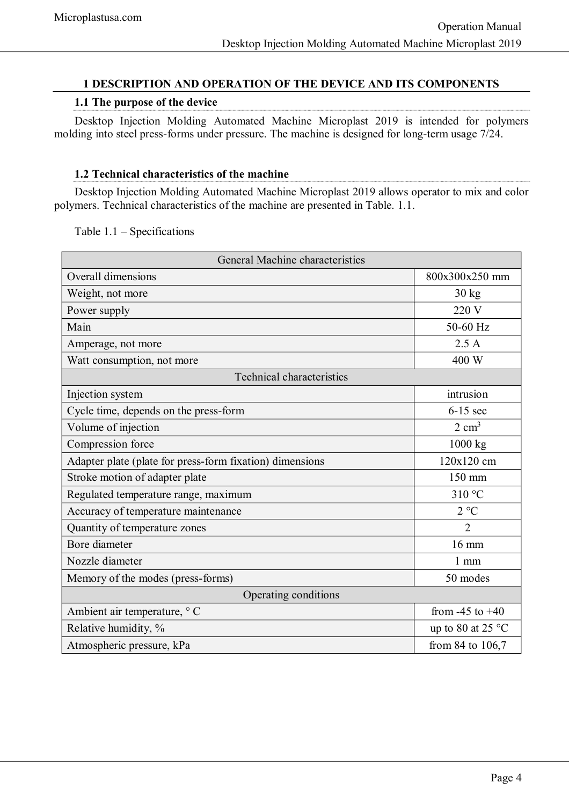# <span id="page-2-2"></span>**1 DESCRIPTION AND OPERATION OF THE DEVICE AND ITS COMPONENTS**

## **1.1 The purpose of the device**

<span id="page-2-1"></span>Desktop Injection Molding Automated Machine Microplast 2019 is intended for polymers molding into steel press-forms under pressure. The machine is designed for long-term usage 7/24.

## **1.2 Technical characteristics of the machine**

<span id="page-2-0"></span>Desktop Injection Molding Automated Machine Microplast 2019 allows operator to mix and color polymers. Technical characteristics of the machine are presented in Table. 1.1.

Table 1.1 – Specifications

| General Machine characteristics                          |                             |  |  |  |
|----------------------------------------------------------|-----------------------------|--|--|--|
| Overall dimensions                                       | 800x300x250 mm              |  |  |  |
| Weight, not more                                         | $30 \text{ kg}$             |  |  |  |
| Power supply                                             | 220 V                       |  |  |  |
| Main                                                     | 50-60 Hz                    |  |  |  |
| Amperage, not more                                       | 2.5A                        |  |  |  |
| Watt consumption, not more                               | 400 W                       |  |  |  |
| <b>Technical characteristics</b>                         |                             |  |  |  |
| Injection system                                         | intrusion                   |  |  |  |
| Cycle time, depends on the press-form                    | $6-15$ sec                  |  |  |  |
| Volume of injection                                      | $2 \text{ cm}^3$            |  |  |  |
| Compression force                                        | 1000 kg                     |  |  |  |
| Adapter plate (plate for press-form fixation) dimensions | 120x120 cm                  |  |  |  |
| Stroke motion of adapter plate                           | 150 mm                      |  |  |  |
| Regulated temperature range, maximum                     | 310 °C                      |  |  |  |
| Accuracy of temperature maintenance                      | $2^{\circ}C$                |  |  |  |
| Quantity of temperature zones                            | $\overline{2}$              |  |  |  |
| Bore diameter                                            | $16 \text{ mm}$             |  |  |  |
| Nozzle diameter                                          | $1 \text{ mm}$              |  |  |  |
| Memory of the modes (press-forms)                        | 50 modes                    |  |  |  |
| Operating conditions                                     |                             |  |  |  |
| Ambient air temperature, ° C                             | from $-45$ to $+40$         |  |  |  |
| Relative humidity, %                                     | up to 80 at 25 $^{\circ}$ C |  |  |  |
| Atmospheric pressure, kPa                                | from 84 to 106,7            |  |  |  |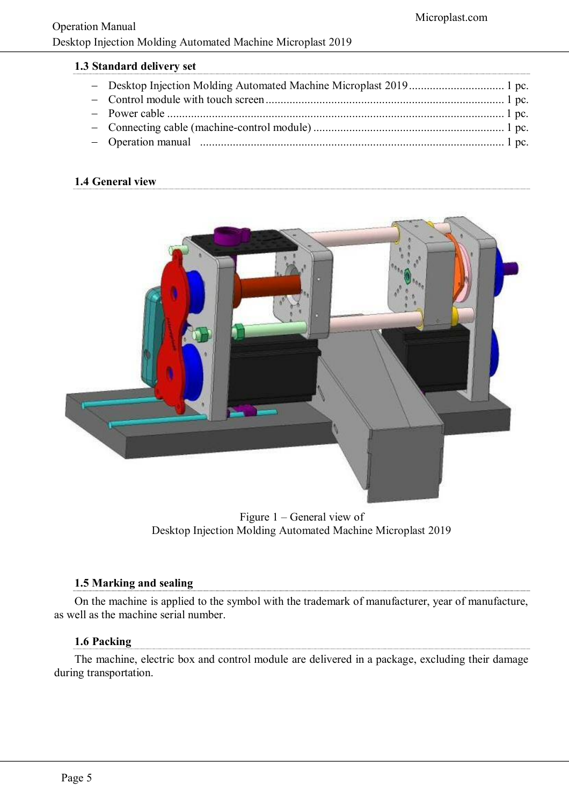<span id="page-3-3"></span>

|  | 1.3 Standard delivery set |  |
|--|---------------------------|--|
|  |                           |  |

# <span id="page-3-2"></span>**1.4 General view**



Figure 1 – General view of Desktop Injection Molding Automated Machine Microplast 2019

# **1.5 Marking and sealing**

<span id="page-3-1"></span>On the machine is applied to the symbol with the trademark of manufacturer, year of manufacture, as well as the machine serial number.

# **1.6 Packing**

<span id="page-3-0"></span>The machine, electric box and control module are delivered in a package, excluding their damage during transportation.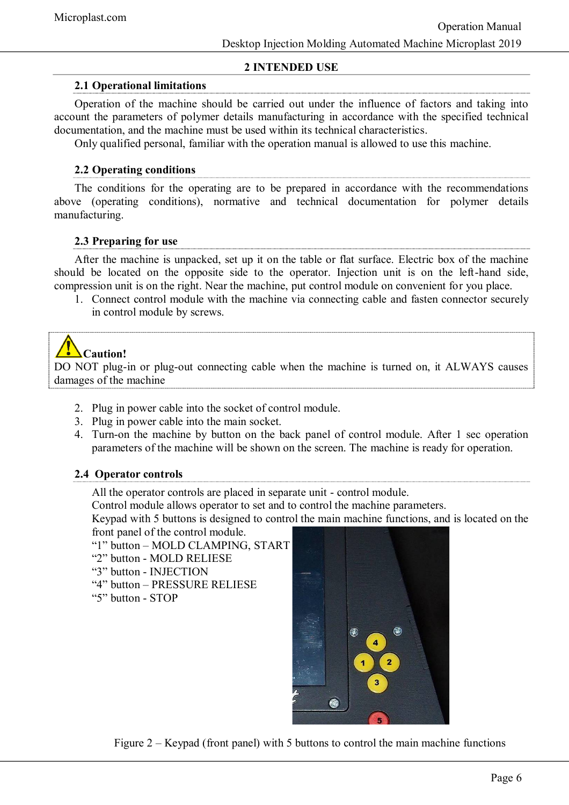# **2 INTENDED USE**

# <span id="page-4-3"></span>**2.1 Operational limitations**

<span id="page-4-2"></span>Operation of the machine should be carried out under the influence of factors and taking into account the parameters of polymer details manufacturing in accordance with the specified technical documentation, and the machine must be used within its technical characteristics.

Only qualified personal, familiar with the operation manual is allowed to use this machine.

# **2.2 Operating conditions**

<span id="page-4-1"></span>The conditions for the operating are to be prepared in accordance with the recommendations above (operating conditions), normative and technical documentation for polymer details manufacturing.

# **2.3 Preparing for use**

<span id="page-4-0"></span>After the machine is unpacked, set up it on the table or flat surface. Electric box of the machine should be located on the opposite side to the operator. Injection unit is on the left-hand side, compression unit is on the right. Near the machine, put control module on convenient for you place.

1. Connect control module with the machine via connecting cable and fasten connector securely in control module by screws.

# **Caution!**

DO NOT plug-in or plug-out connecting cable when the machine is turned on, it ALWAYS causes damages of the machine

- 2. Plug in power cable into the socket of control module.
- 3. Plug in power cable into the main socket.
- 4. Turn-on the machine by button on the back panel of control module. After 1 sec operation parameters of the machine will be shown on the screen. The machine is ready for operation.

# **2.4 Operator controls**

All the operator controls are placed in separate unit - control module.

Control module allows operator to set and to control the machine parameters.

Keypad with 5 buttons is designed to control the main machine functions, and is located on the front panel of the control module.

- "1" button MOLD CLAMPING, START
- "2" button MOLD RELIESE
- "3" button INJECTION
- "4" button PRESSURE RELIESE
- "5" button STOP



Figure 2 – Keypad (front panel) with 5 buttons to control the main machine functions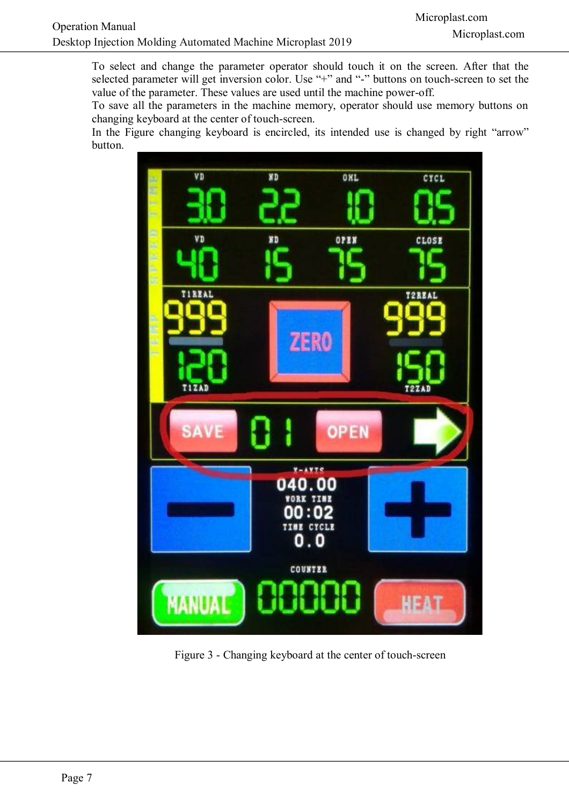To select and change the parameter operator should touch it on the screen. After that the selected parameter will get inversion color. Use "+" and "-" buttons on touch-screen to set the value of the parameter. These values are used until the machine power-off.

To save all the parameters in the machine memory, operator should use memory buttons on changing keyboard at the center of touch-screen.

In the Figure changing keyboard is encircled, its intended use is changed by right "arrow" button.



Figure 3 - Changing keyboard at the center of touch-screen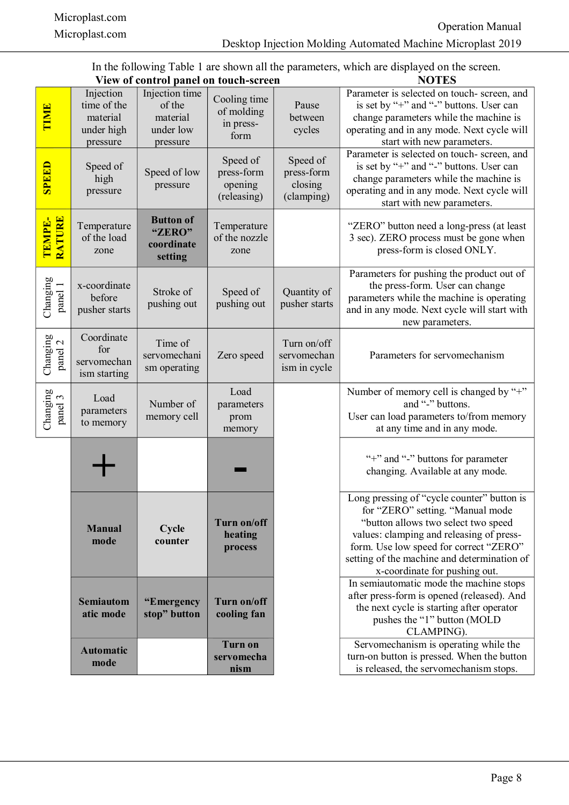In the following Table 1 are shown all the parameters, which are displayed on the screen. **View of control panel on touch-screen NOTES**

<span id="page-6-0"></span>

|                     | View of control panel on touch-screen                          |                                                               |                                                  | NOTES                                           |                                                                                                                                                                                                                                                                                              |
|---------------------|----------------------------------------------------------------|---------------------------------------------------------------|--------------------------------------------------|-------------------------------------------------|----------------------------------------------------------------------------------------------------------------------------------------------------------------------------------------------------------------------------------------------------------------------------------------------|
| TIME                | Injection<br>time of the<br>material<br>under high<br>pressure | Injection time<br>of the<br>material<br>under low<br>pressure | Cooling time<br>of molding<br>in press-<br>form  | Pause<br>between<br>cycles                      | Parameter is selected on touch- screen, and<br>is set by "+" and "-" buttons. User can<br>change parameters while the machine is<br>operating and in any mode. Next cycle will<br>start with new parameters.                                                                                 |
| <b>GREED</b>        | Speed of<br>high<br>pressure                                   | Speed of low<br>pressure                                      | Speed of<br>press-form<br>opening<br>(releasing) | Speed of<br>press-form<br>closing<br>(clamping) | Parameter is selected on touch- screen, and<br>is set by "+" and "-" buttons. User can<br>change parameters while the machine is<br>operating and in any mode. Next cycle will<br>start with new parameters.                                                                                 |
| RATURE<br>TEMPE-    | Temperature<br>of the load<br>zone                             | <b>Button of</b><br>"ZERO"<br>coordinate<br>setting           | Temperature<br>of the nozzle<br>zone             |                                                 | "ZERO" button need a long-press (at least<br>3 sec). ZERO process must be gone when<br>press-form is closed ONLY.                                                                                                                                                                            |
| Changing<br>panel 1 | x-coordinate<br>before<br>pusher starts                        | Stroke of<br>pushing out                                      | Speed of<br>pushing out                          | Quantity of<br>pusher starts                    | Parameters for pushing the product out of<br>the press-form. User can change<br>parameters while the machine is operating<br>and in any mode. Next cycle will start with<br>new parameters.                                                                                                  |
| Changing<br>panel 2 | Coordinate<br>for<br>servomechan<br>ism starting               | Time of<br>servomechani<br>sm operating                       | Zero speed                                       | Turn on/off<br>servomechan<br>ism in cycle      | Parameters for servomechanism                                                                                                                                                                                                                                                                |
| Changing<br>panel 3 | Load<br>parameters<br>to memory                                | Number of<br>memory cell                                      | Load<br>parameters<br>prom<br>memory             |                                                 | Number of memory cell is changed by "+"<br>and "-" buttons.<br>User can load parameters to/from memory<br>at any time and in any mode.                                                                                                                                                       |
|                     |                                                                |                                                               |                                                  |                                                 | "+" and "-" buttons for parameter<br>changing. Available at any mode.                                                                                                                                                                                                                        |
|                     | <b>Manual</b><br>mode                                          | Cycle<br>counter                                              | Turn on/off<br>heating<br>process                |                                                 | Long pressing of "cycle counter" button is<br>for "ZERO" setting. "Manual mode"<br>"button allows two select two speed<br>values: clamping and releasing of press-<br>form. Use low speed for correct "ZERO"<br>setting of the machine and determination of<br>x-coordinate for pushing out. |
|                     | <b>Semiautom</b><br>atic mode                                  | "Emergency<br>stop" button                                    | Turn on/off<br>cooling fan                       |                                                 | In semiautomatic mode the machine stops<br>after press-form is opened (released). And<br>the next cycle is starting after operator<br>pushes the "1" button (MOLD<br>CLAMPING).                                                                                                              |
|                     | <b>Automatic</b><br>mode                                       |                                                               | <b>Turn on</b><br>servomecha<br>nism             |                                                 | Servomechanism is operating while the<br>turn-on button is pressed. When the button<br>is released, the servomechanism stops.                                                                                                                                                                |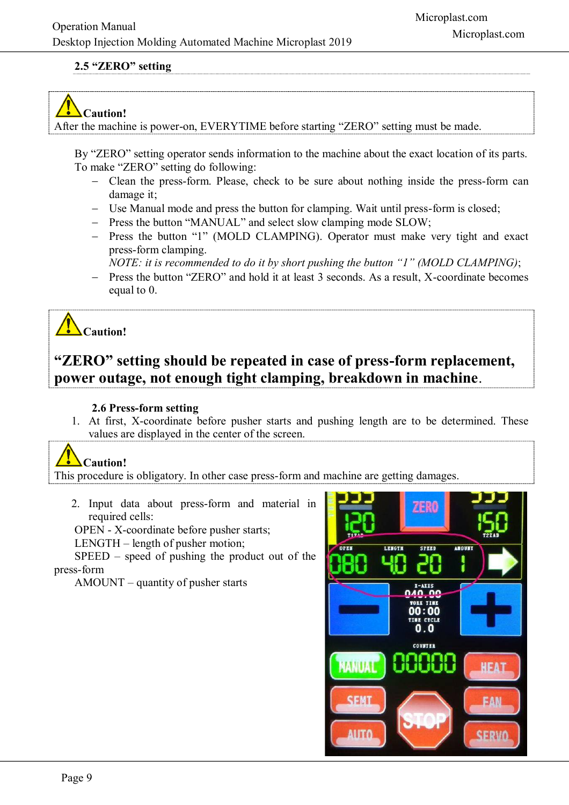# **2.5 "ZERO" setting**



After the machine is power-on, EVERYTIME before starting "ZERO" setting must be made.

By "ZERO" setting operator sends information to the machine about the exact location of its parts. To make "ZERO" setting do following:

- Clean the press-form. Please, check to be sure about nothing inside the press-form can damage it;
- Use Manual mode and press the button for clamping. Wait until press-form is closed;
- Press the button "MANUAL" and select slow clamping mode SLOW;
- Press the button "1" (MOLD CLAMPING). Operator must make very tight and exact press-form clamping.

*NOTE: it is recommended to do it by short pushing the button "1" (MOLD CLAMPING)*;

- Press the button "ZERO" and hold it at least 3 seconds. As a result, X-coordinate becomes equal to 0.

**Caution!** 

# **"ZERO" setting should be repeated in case of press-form replacement, power outage, not enough tight clamping, breakdown in machine**.

# **2.6 Press-form setting**

1. At first, X-coordinate before pusher starts and pushing length are to be determined. These values are displayed in the center of the screen.

# **Caution!**

This procedure is obligatory. In other case press-form and machine are getting damages.

<span id="page-7-0"></span>2. Input data about press-form and material in required cells:

OPEN - X-coordinate before pusher starts;

LENGTH – length of pusher motion;

SPEED – speed of pushing the product out of the press-form

AMOUNT – quantity of pusher starts

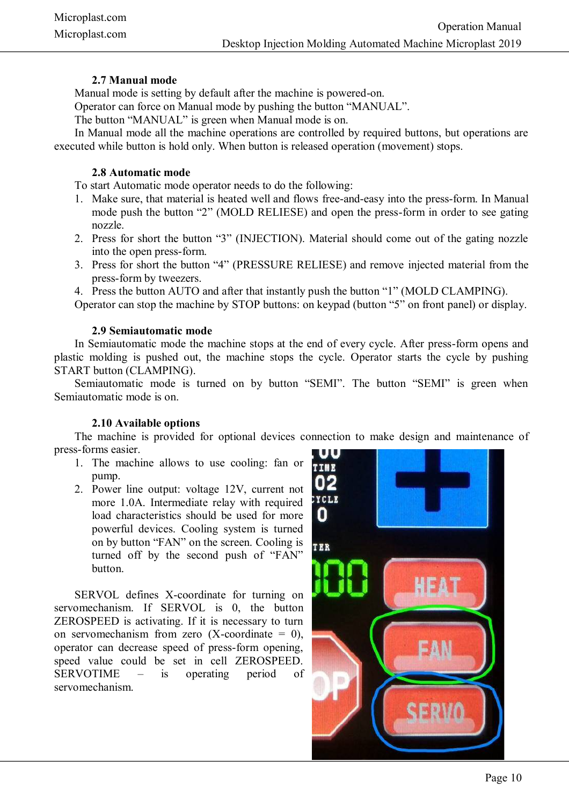# **2.7 Manual mode**

Manual mode is setting by default after the machine is powered-on.

Operator can force on Manual mode by pushing the button "MANUAL".

The button "MANUAL" is green when Manual mode is on.

In Manual mode all the machine operations are controlled by required buttons, but operations are executed while button is hold only. When button is released operation (movement) stops.

#### **2.8 Automatic mode**

To start Automatic mode operator needs to do the following:

- 1. Make sure, that material is heated well and flows free-and-easy into the press-form. In Manual mode push the button "2" (MOLD RELIESE) and open the press-form in order to see gating nozzle.
- 2. Press for short the button "3" (INJECTION). Material should come out of the gating nozzle into the open press-form.
- 3. Press for short the button "4" (PRESSURE RELIESE) and remove injected material from the press-form by tweezers.
- 4. Press the button AUTO and after that instantly push the button "1" (MOLD CLAMPING).

Operator can stop the machine by STOP buttons: on keypad (button "5" on front panel) or display.

#### **2.9 Semiautomatic mode**

In Semiautomatic mode the machine stops at the end of every cycle. After press-form opens and plastic molding is pushed out, the machine stops the cycle. Operator starts the cycle by pushing START button (CLAMPING).

Semiautomatic mode is turned on by button "SEMI". The button "SEMI" is green when Semiautomatic mode is on.

#### **2.10 Available options**

The machine is provided for optional devices connection to make design and maintenance of press-forms easier.

- 1. The machine allows to use cooling: fan or pump.
- 2. Power line output: voltage 12V, current not more 1.0A. Intermediate relay with required load characteristics should be used for more powerful devices. Cooling system is turned on by button "FAN" on the screen. Cooling is turned off by the second push of "FAN" button.

SERVOL defines X-coordinate for turning on servomechanism. If SERVOL is 0, the button ZEROSPEED is activating. If it is necessary to turn on servomechanism from zero  $(X$ -coordinate = 0), operator can decrease speed of press-form opening, speed value could be set in cell ZEROSPEED. SERVOTIME – is operating period of servomechanism.

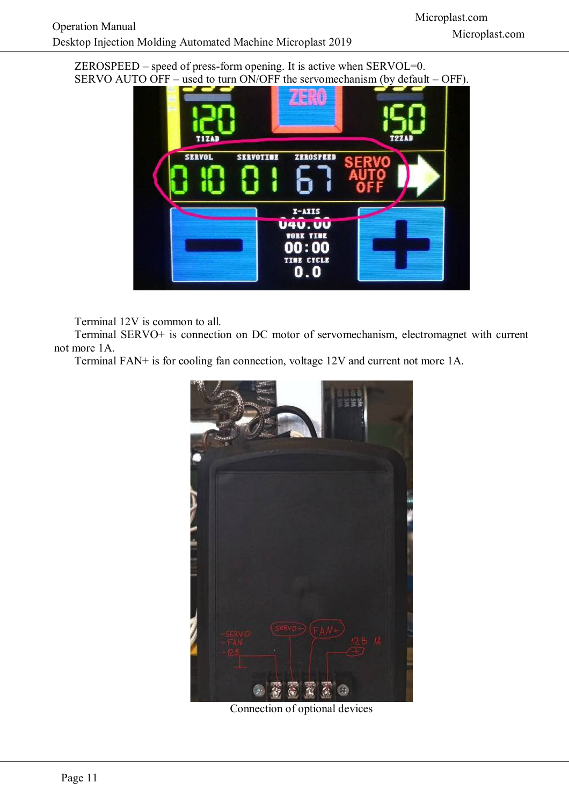ZEROSPEED – speed of press-form opening. It is active when SERVOL=0. SERVO AUTO OFF – used to turn ON/OFF the servomechanism (by default – OFF).



Terminal 12V is common to all.

Terminal SERVO+ is connection on DC motor of servomechanism, electromagnet with current not more 1A.

Terminal FAN+ is for cooling fan connection, voltage 12V and current not more 1A.



Connection of optional devices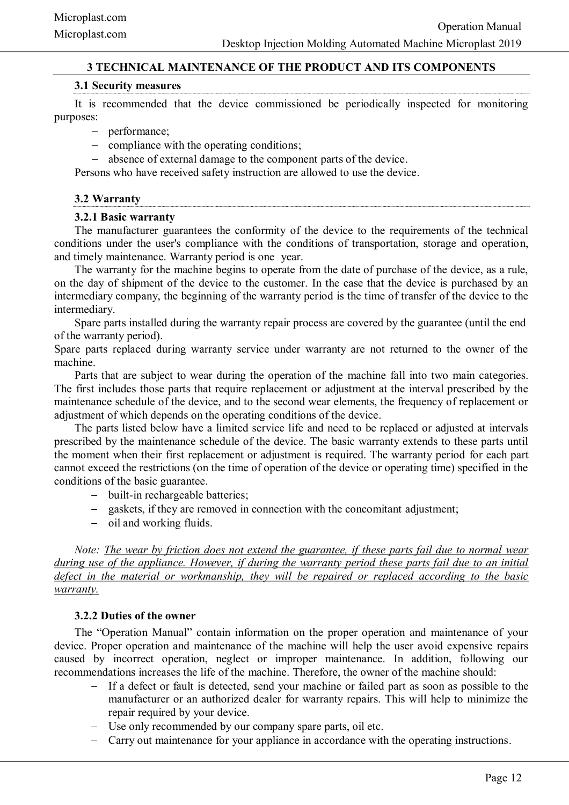# **3 TECHNICAL MAINTENANCE OF THE PRODUCT AND ITS COMPONENTS**

#### **3.1 Security measures**

<span id="page-10-2"></span>It is recommended that the device commissioned be periodically inspected for monitoring purposes:

- performance:
- compliance with the operating conditions;
- absence of external damage to the component parts of the device.

Persons who have received safety instruction are allowed to use the device.

#### <span id="page-10-1"></span>**3.2 Warranty**

#### **3.2.1 Basic warranty**

The manufacturer guarantees the conformity of the device to the requirements of the technical conditions under the user's compliance with the conditions of transportation, storage and operation, and timely maintenance. Warranty period is one year.

The warranty for the machine begins to operate from the date of purchase of the device, as a rule, on the day of shipment of the device to the customer. In the case that the device is purchased by an intermediary company, the beginning of the warranty period is the time of transfer of the device to the intermediary.

Spare parts installed during the warranty repair process are covered by the guarantee (until the end of the warranty period).

Spare parts replaced during warranty service under warranty are not returned to the owner of the machine.

Parts that are subject to wear during the operation of the machine fall into two main categories. The first includes those parts that require replacement or adjustment at the interval prescribed by the maintenance schedule of the device, and to the second wear elements, the frequency of replacement or adjustment of which depends on the operating conditions of the device.

The parts listed below have a limited service life and need to be replaced or adjusted at intervals prescribed by the maintenance schedule of the device. The basic warranty extends to these parts until the moment when their first replacement or adjustment is required. The warranty period for each part cannot exceed the restrictions (on the time of operation of the device or operating time) specified in the conditions of the basic guarantee.

- built-in rechargeable batteries;
- gaskets, if they are removed in connection with the concomitant adjustment;
- oil and working fluids.

*Note: The wear by friction does not extend the guarantee, if these parts fail due to normal wear during use of the appliance. However, if during the warranty period these parts fail due to an initial defect in the material or workmanship, they will be repaired or replaced according to the basic warranty.*

#### **3.2.2 Duties of the owner**

<span id="page-10-0"></span>The "Operation Manual" contain information on the proper operation and maintenance of your device. Proper operation and maintenance of the machine will help the user avoid expensive repairs caused by incorrect operation, neglect or improper maintenance. In addition, following our recommendations increases the life of the machine. Therefore, the owner of the machine should:

- If a defect or fault is detected, send your machine or failed part as soon as possible to the manufacturer or an authorized dealer for warranty repairs. This will help to minimize the repair required by your device.
- Use only recommended by our company spare parts, oil etc.
- Carry out maintenance for your appliance in accordance with the operating instructions.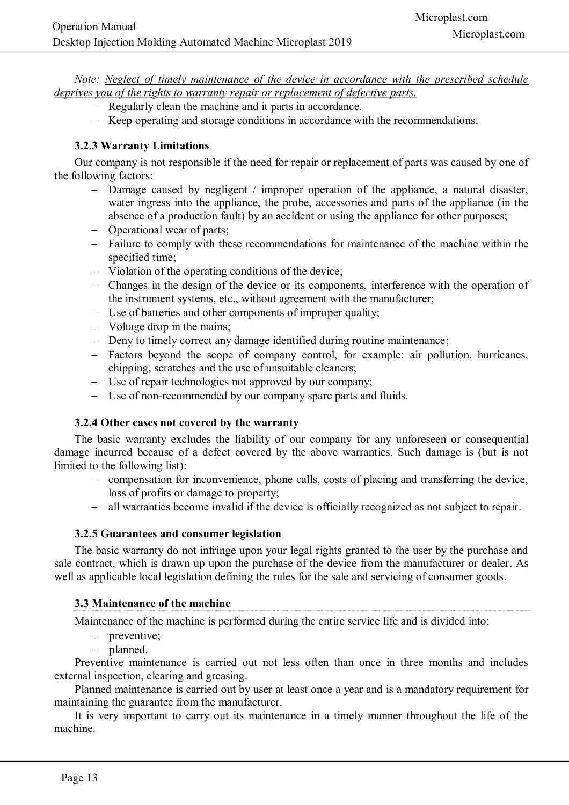*Note: Neglect of timely maintenance of the device in accordance with the prescribed schedule deprives you of the rights to warranty repair or replacement of defective parts.*

- Regularly clean the machine and it parts in accordance.
- <span id="page-11-3"></span>- Keep operating and storage conditions in accordance with the recommendations.

# **3.2.3 Warranty Limitations**

Our company is not responsible if the need for repair or replacement of parts was caused by one of the following factors:

- Damage caused by negligent / improper operation of the appliance, a natural disaster, water ingress into the appliance, the probe, accessories and parts of the appliance (in the absence of a production fault) by an accident or using the appliance for other purposes;
- Operational wear of parts:
- Failure to comply with these recommendations for maintenance of the machine within the specified time;
- Violation of the operating conditions of the device;
- Changes in the design of the device or its components, interference with the operation of the instrument systems, etc., without agreement with the manufacturer;
- Use of batteries and other components of improper quality;
- Voltage drop in the mains;
- Deny to timely correct any damage identified during routine maintenance;
- Factors beyond the scope of company control, for example: air pollution, hurricanes, chipping, scratches and the use of unsuitable cleaners;
- Use of repair technologies not approved by our company;
- Use of non-recommended by our company spare parts and fluids.

# **3.2.4 Other cases not covered by the warranty**

<span id="page-11-2"></span>The basic warranty excludes the liability of our company for any unforeseen or consequential damage incurred because of a defect covered by the above warranties. Such damage is (but is not limited to the following list):

- compensation for inconvenience, phone calls, costs of placing and transferring the device, loss of profits or damage to property;
- all warranties become invalid if the device is officially recognized as not subject to repair.

# **3.2.5 Guarantees and consumer legislation**

<span id="page-11-1"></span>The basic warranty do not infringe upon your legal rights granted to the user by the purchase and sale contract, which is drawn up upon the purchase of the device from the manufacturer or dealer. As well as applicable local legislation defining the rules for the sale and servicing of consumer goods.

# <span id="page-11-0"></span>**3.3 Maintenance of the machine**

Maintenance of the machine is performed during the entire service life and is divided into:

- preventive;
- planned.

Preventive maintenance is carried out not less often than once in three months and includes external inspection, clearing and greasing.

Planned maintenance is carried out by user at least once a year and is a mandatory requirement for maintaining the guarantee from the manufacturer.

It is very important to carry out its maintenance in a timely manner throughout the life of the machine.